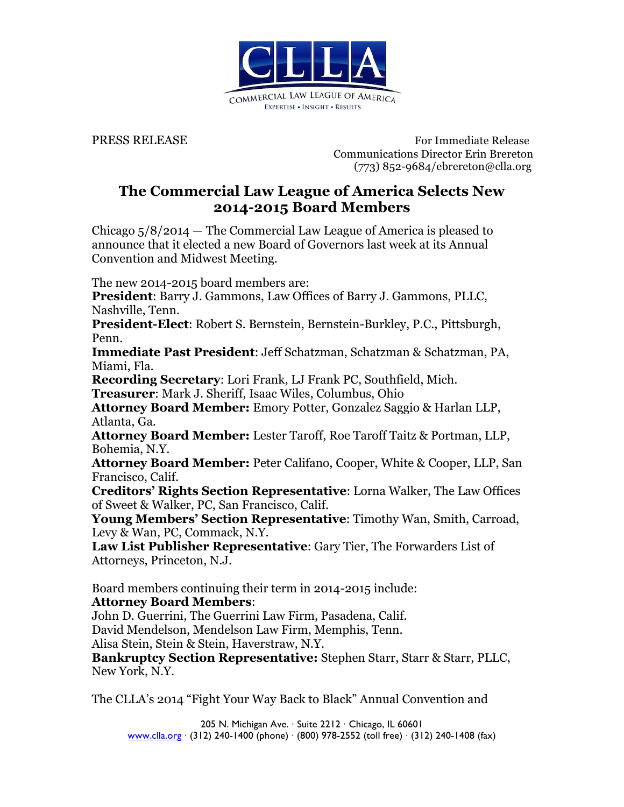

**PRESS RELEASE** For Immediate Release Communications Director Erin Brereton (773) 852-9684/ebrereton@clla.org

## **The Commercial Law League of America Selects New 2014-2015 Board Members**

Chicago 5/8/2014 — The Commercial Law League of America is pleased to announce that it elected a new Board of Governors last week at its Annual Convention and Midwest Meeting.

The new 2014-2015 board members are:

**President**: Barry J. Gammons, Law Offices of Barry J. Gammons, PLLC, Nashville, Tenn.

**President-Elect**: Robert S. Bernstein, Bernstein-Burkley, P.C., Pittsburgh, Penn.

**Immediate Past President**: Jeff Schatzman, Schatzman & Schatzman, PA, Miami, Fla.

**Recording Secretary**: Lori Frank, LJ Frank PC, Southfield, Mich.

**Treasurer**: Mark J. Sheriff, Isaac Wiles, Columbus, Ohio

**Attorney Board Member:** Emory Potter, Gonzalez Saggio & Harlan LLP, Atlanta, Ga.

**Attorney Board Member:** Lester Taroff, Roe Taroff Taitz & Portman, LLP, Bohemia, N.Y.

**Attorney Board Member:** Peter Califano, Cooper, White & Cooper, LLP, San Francisco, Calif.

**Creditors' Rights Section Representative**: Lorna Walker, The Law Offices of Sweet & Walker, PC, San Francisco, Calif.

**Young Members' Section Representative**: Timothy Wan, Smith, Carroad, Levy & Wan, PC, Commack, N.Y.

**Law List Publisher Representative**: Gary Tier, The Forwarders List of Attorneys, Princeton, N.J.

Board members continuing their term in 2014-2015 include:

**Attorney Board Members**:

John D. Guerrini, The Guerrini Law Firm, Pasadena, Calif.

David Mendelson, Mendelson Law Firm, Memphis, Tenn.

Alisa Stein, Stein & Stein, Haverstraw, N.Y.

**Bankruptcy Section Representative:** Stephen Starr, Starr & Starr, PLLC, New York, N.Y.

The CLLA's 2014 "Fight Your Way Back to Black" Annual Convention and

205 N. Michigan Ave. · Suite 2212 · Chicago, IL 60601 www.clla.org · (312) 240-1400 (phone) · (800) 978-2552 (toll free) · (312) 240-1408 (fax)